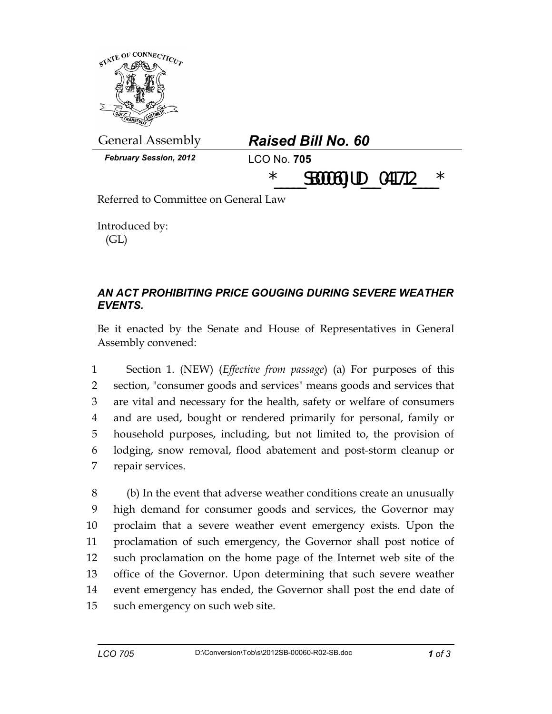

Introduced by: (GL)

## *AN ACT PROHIBITING PRICE GOUGING DURING SEVERE WEATHER EVENTS.*

Be it enacted by the Senate and House of Representatives in General Assembly convened:

1 Section 1. (NEW) (*Effective from passage*) (a) For purposes of this 2 section, "consumer goods and services" means goods and services that 3 are vital and necessary for the health, safety or welfare of consumers 4 and are used, bought or rendered primarily for personal, family or 5 household purposes, including, but not limited to, the provision of 6 lodging, snow removal, flood abatement and post-storm cleanup or 7 repair services.

8 (b) In the event that adverse weather conditions create an unusually 9 high demand for consumer goods and services, the Governor may 10 proclaim that a severe weather event emergency exists. Upon the 11 proclamation of such emergency, the Governor shall post notice of 12 such proclamation on the home page of the Internet web site of the 13 office of the Governor. Upon determining that such severe weather 14 event emergency has ended, the Governor shall post the end date of 15 such emergency on such web site.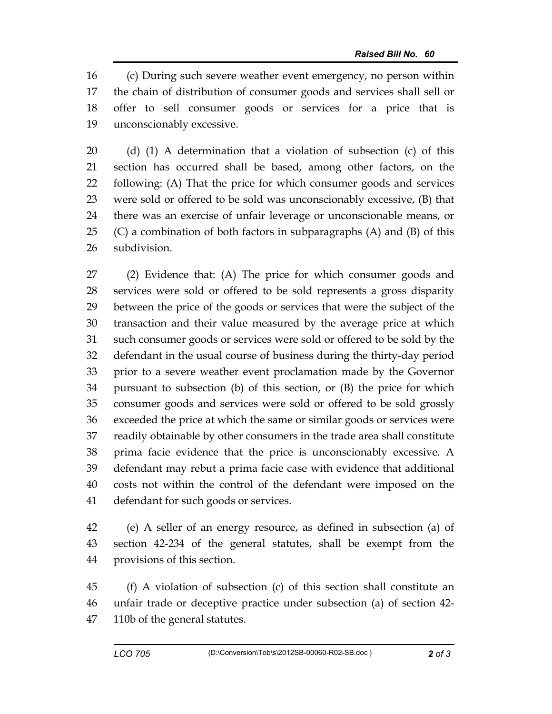16 (c) During such severe weather event emergency, no person within 17 the chain of distribution of consumer goods and services shall sell or 18 offer to sell consumer goods or services for a price that is 19 unconscionably excessive.

20 (d) (1) A determination that a violation of subsection (c) of this 21 section has occurred shall be based, among other factors, on the 22 following: (A) That the price for which consumer goods and services 23 were sold or offered to be sold was unconscionably excessive, (B) that 24 there was an exercise of unfair leverage or unconscionable means, or 25  $(C)$  a combination of both factors in subparagraphs  $(A)$  and  $(B)$  of this 26 subdivision.

27 (2) Evidence that: (A) The price for which consumer goods and 28 services were sold or offered to be sold represents a gross disparity 29 between the price of the goods or services that were the subject of the 30 transaction and their value measured by the average price at which 31 such consumer goods or services were sold or offered to be sold by the 32 defendant in the usual course of business during the thirty-day period 33 prior to a severe weather event proclamation made by the Governor 34 pursuant to subsection (b) of this section, or (B) the price for which 35 consumer goods and services were sold or offered to be sold grossly 36 exceeded the price at which the same or similar goods or services were 37 readily obtainable by other consumers in the trade area shall constitute 38 prima facie evidence that the price is unconscionably excessive. A 39 defendant may rebut a prima facie case with evidence that additional 40 costs not within the control of the defendant were imposed on the 41 defendant for such goods or services.

42 (e) A seller of an energy resource, as defined in subsection (a) of 43 section 42-234 of the general statutes, shall be exempt from the 44 provisions of this section.

45 (f) A violation of subsection (c) of this section shall constitute an 46 unfair trade or deceptive practice under subsection (a) of section 42- 47 110b of the general statutes.